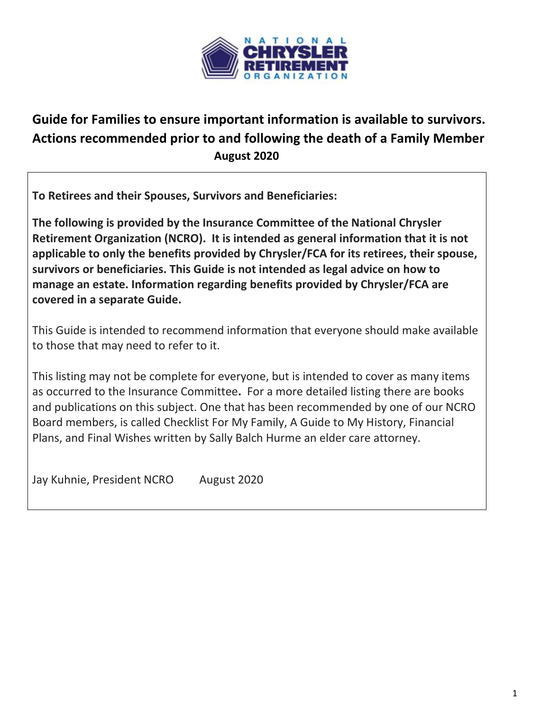

# **Guide for Families to ensure important information is available to survivors. Actions recommended prior to and following the death of a Family Member August 2020**

**To Retirees and their Spouses, Survivors and Beneficiaries:**

**The following is provided by the Insurance Committee of the National Chrysler Retirement Organization (NCRO). It is intended as general information that it is not applicable to only the benefits provided by Chrysler/FCA for its retirees, their spouse, survivors or beneficiaries. This Guide is not intended as legal advice on how to manage an estate. Information regarding benefits provided by Chrysler/FCA are covered in a separate Guide.**

This Guide is intended to recommend information that everyone should make available to those that may need to refer to it.

This listing may not be complete for everyone, but is intended to cover as many items as occurred to the Insurance Committee**.** For a more detailed listing there are books and publications on this subject. One that has been recommended by one of our NCRO Board members, is called Checklist For My Family, A Guide to My History, Financial Plans, and Final Wishes written by Sally Balch Hurme an elder care attorney.

Jay Kuhnie, President NCRO August 2020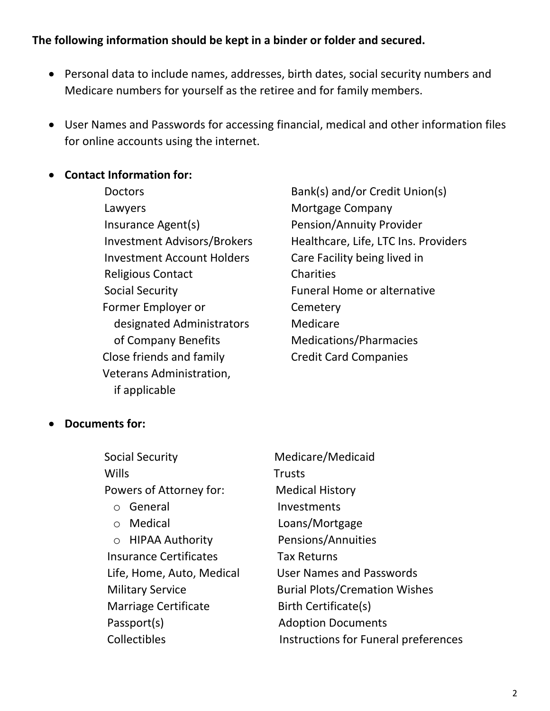### **The following information should be kept in a binder or folder and secured.**

- Personal data to include names, addresses, birth dates, social security numbers and Medicare numbers for yourself as the retiree and for family members.
- User Names and Passwords for accessing financial, medical and other information files for online accounts using the internet.

#### • **Contact Information for:**

- Lawyers **Mortgage Company** Insurance Agent(s) Pension/Annuity Provider Investment Account Holders Care Facility being lived in Religious Contact Charities Social Security **Funeral Home or alternative** Former Employer or Formetery designated Administrators Medicare of Company Benefits Medications/Pharmacies Close friends and family Credit Card Companies Veterans Administration, if applicable
- Doctors Bank(s) and/or Credit Union(s) Investment Advisors/Brokers Healthcare, Life, LTC Ins. Providers

#### • **Documents for:**

| <b>Social Security</b>        | Medicare/Medicaid                    |
|-------------------------------|--------------------------------------|
| <b>Wills</b>                  | <b>Trusts</b>                        |
| Powers of Attorney for:       | <b>Medical History</b>               |
| General<br>$\bigcirc$         | Investments                          |
| Medical<br>$\bigcirc$         | Loans/Mortgage                       |
| ○ HIPAA Authority             | Pensions/Annuities                   |
| <b>Insurance Certificates</b> | <b>Tax Returns</b>                   |
| Life, Home, Auto, Medical     | <b>User Names and Passwords</b>      |
| <b>Military Service</b>       | <b>Burial Plots/Cremation Wishes</b> |
| <b>Marriage Certificate</b>   | Birth Certificate(s)                 |
| Passport(s)                   | <b>Adoption Documents</b>            |
| Collectibles                  | Instructions for Funeral preferences |
|                               |                                      |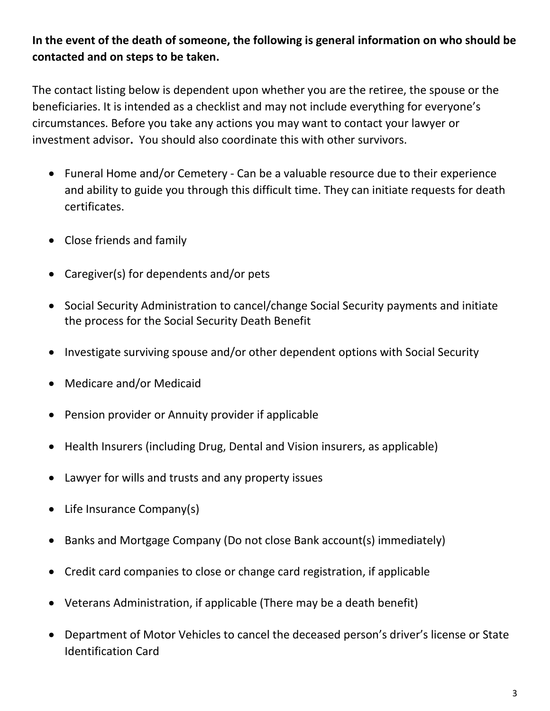## **In the event of the death of someone, the following is general information on who should be contacted and on steps to be taken.**

The contact listing below is dependent upon whether you are the retiree, the spouse or the beneficiaries. It is intended as a checklist and may not include everything for everyone's circumstances. Before you take any actions you may want to contact your lawyer or investment advisor**.** You should also coordinate this with other survivors.

- Funeral Home and/or Cemetery Can be a valuable resource due to their experience and ability to guide you through this difficult time. They can initiate requests for death certificates.
- Close friends and family
- Caregiver(s) for dependents and/or pets
- Social Security Administration to cancel/change Social Security payments and initiate the process for the Social Security Death Benefit
- Investigate surviving spouse and/or other dependent options with Social Security
- Medicare and/or Medicaid
- Pension provider or Annuity provider if applicable
- Health Insurers (including Drug, Dental and Vision insurers, as applicable)
- Lawyer for wills and trusts and any property issues
- Life Insurance Company(s)
- Banks and Mortgage Company (Do not close Bank account(s) immediately)
- Credit card companies to close or change card registration, if applicable
- Veterans Administration, if applicable (There may be a death benefit)
- Department of Motor Vehicles to cancel the deceased person's driver's license or State Identification Card